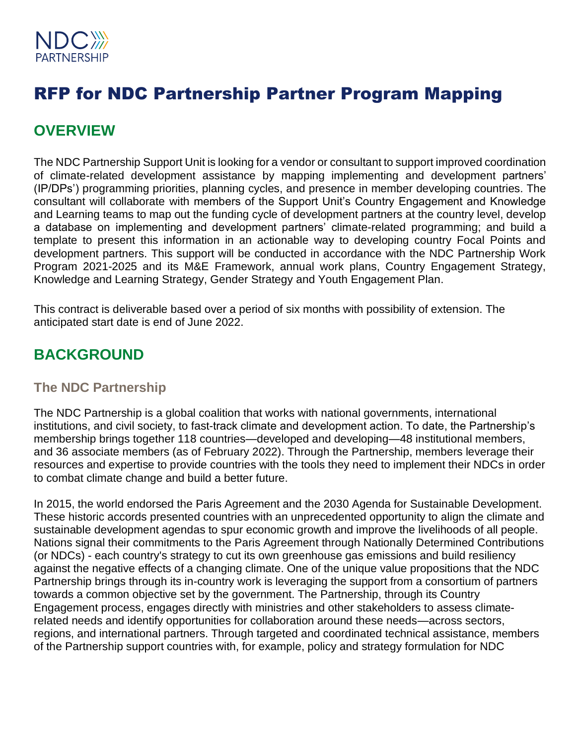

# RFP for NDC Partnership Partner Program Mapping

## **OVERVIEW**

The NDC Partnership Support Unit is looking for a vendor or consultant to support improved coordination of climate-related development assistance by mapping implementing and development partners' (IP/DPs') programming priorities, planning cycles, and presence in member developing countries. The consultant will collaborate with members of the Support Unit's Country Engagement and Knowledge and Learning teams to map out the funding cycle of development partners at the country level, develop a database on implementing and development partners' climate-related programming; and build a template to present this information in an actionable way to developing country Focal Points and development partners. This support will be conducted in accordance with the NDC Partnership Work Program 2021-2025 and its M&E Framework, annual work plans, Country Engagement Strategy, Knowledge and Learning Strategy, Gender Strategy and Youth Engagement Plan.

This contract is deliverable based over a period of six months with possibility of extension. The anticipated start date is end of June 2022.

## **BACKGROUND**

### **The NDC Partnership**

The NDC Partnership is a global coalition that works with national governments, international institutions, and civil society, to fast-track climate and development action. To date, the Partnership's membership brings together 118 countries—developed and developing—48 institutional members, and 36 associate members (as of February 2022). Through the Partnership, members leverage their resources and expertise to provide countries with the tools they need to implement their NDCs in order to combat climate change and build a better future.

In 2015, the world endorsed the Paris Agreement and the 2030 Agenda for Sustainable Development. These historic accords presented countries with an unprecedented opportunity to align the climate and sustainable development agendas to spur economic growth and improve the livelihoods of all people. Nations signal their commitments to the Paris Agreement through Nationally Determined Contributions (or NDCs) - each country's strategy to cut its own greenhouse gas emissions and build resiliency against the negative effects of a changing climate. One of the unique value propositions that the NDC Partnership brings through its in-country work is leveraging the support from a consortium of partners towards a common objective set by the government. The Partnership, through its Country Engagement process, engages directly with ministries and other stakeholders to assess climaterelated needs and identify opportunities for collaboration around these needs—across sectors, regions, and international partners. Through targeted and coordinated technical assistance, members of the Partnership support countries with, for example, policy and strategy formulation for NDC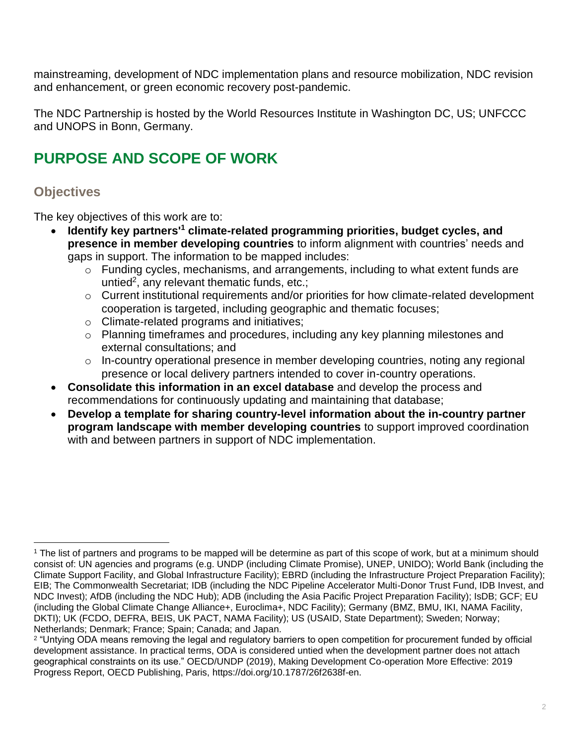mainstreaming, development of NDC implementation plans and resource mobilization, NDC revision and enhancement, or green economic recovery post-pandemic.

The NDC Partnership is hosted by the World Resources Institute in Washington DC, US; UNFCCC and UNOPS in Bonn, Germany.

# **PURPOSE AND SCOPE OF WORK**

## **Objectives**

The key objectives of this work are to:

- **Identify key partners'<sup>1</sup> climate-related programming priorities, budget cycles, and presence in member developing countries** to inform alignment with countries' needs and gaps in support. The information to be mapped includes:
	- o Funding cycles, mechanisms, and arrangements, including to what extent funds are untied<sup>2</sup>, any relevant thematic funds, etc.;
	- o Current institutional requirements and/or priorities for how climate-related development cooperation is targeted, including geographic and thematic focuses;
	- o Climate-related programs and initiatives;
	- o Planning timeframes and procedures, including any key planning milestones and external consultations; and
	- $\circ$  In-country operational presence in member developing countries, noting any regional presence or local delivery partners intended to cover in-country operations.
- **Consolidate this information in an excel database** and develop the process and recommendations for continuously updating and maintaining that database;
- **Develop a template for sharing country-level information about the in-country partner program landscape with member developing countries** to support improved coordination with and between partners in support of NDC implementation.

<sup>1</sup> The list of partners and programs to be mapped will be determine as part of this scope of work, but at a minimum should consist of: UN agencies and programs (e.g. UNDP (including Climate Promise), UNEP, UNIDO); World Bank (including the Climate Support Facility, and Global Infrastructure Facility); EBRD (including the Infrastructure Project Preparation Facility); EIB; The Commonwealth Secretariat; IDB (including the NDC Pipeline Accelerator Multi-Donor Trust Fund, IDB Invest, and NDC Invest); AfDB (including the NDC Hub); ADB (including the Asia Pacific Project Preparation Facility); IsDB; GCF; EU (including the Global Climate Change Alliance+, Euroclima+, NDC Facility); Germany (BMZ, BMU, IKI, NAMA Facility, DKTI); UK (FCDO, DEFRA, BEIS, UK PACT, NAMA Facility); US (USAID, State Department); Sweden; Norway; Netherlands; Denmark; France; Spain; Canada; and Japan.

<sup>2</sup> "Untying ODA means removing the legal and regulatory barriers to open competition for procurement funded by official development assistance. In practical terms, ODA is considered untied when the development partner does not attach geographical constraints on its use." OECD/UNDP (2019), Making Development Co-operation More Effective: 2019 Progress Report, OECD Publishing, Paris, https://doi.org/10.1787/26f2638f-en.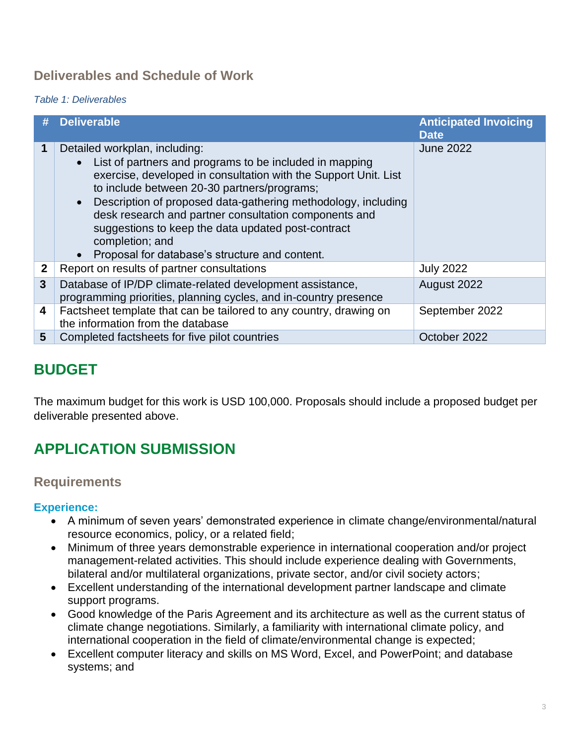## **Deliverables and Schedule of Work**

#### *Table 1: Deliverables*

|              | <b>Deliverable</b>                                                                                                                                                                                                                                                                                                                                                                                                                                                                                     | <b>Anticipated Invoicing</b><br><b>Date</b> |
|--------------|--------------------------------------------------------------------------------------------------------------------------------------------------------------------------------------------------------------------------------------------------------------------------------------------------------------------------------------------------------------------------------------------------------------------------------------------------------------------------------------------------------|---------------------------------------------|
| 1            | Detailed workplan, including:<br>List of partners and programs to be included in mapping<br>$\bullet$<br>exercise, developed in consultation with the Support Unit. List<br>to include between 20-30 partners/programs;<br>Description of proposed data-gathering methodology, including<br>$\bullet$<br>desk research and partner consultation components and<br>suggestions to keep the data updated post-contract<br>completion; and<br>Proposal for database's structure and content.<br>$\bullet$ | <b>June 2022</b>                            |
| $\mathbf{2}$ | Report on results of partner consultations                                                                                                                                                                                                                                                                                                                                                                                                                                                             | <b>July 2022</b>                            |
| $\mathbf{3}$ | Database of IP/DP climate-related development assistance,<br>programming priorities, planning cycles, and in-country presence                                                                                                                                                                                                                                                                                                                                                                          | August 2022                                 |
| 4            | Factsheet template that can be tailored to any country, drawing on<br>the information from the database                                                                                                                                                                                                                                                                                                                                                                                                | September 2022                              |
| 5            | Completed factsheets for five pilot countries                                                                                                                                                                                                                                                                                                                                                                                                                                                          | October 2022                                |

## **BUDGET**

The maximum budget for this work is USD 100,000. Proposals should include a proposed budget per deliverable presented above.

# **APPLICATION SUBMISSION**

### **Requirements**

#### **Experience:**

- A minimum of seven years' demonstrated experience in climate change/environmental/natural resource economics, policy, or a related field;
- Minimum of three years demonstrable experience in international cooperation and/or project management-related activities. This should include experience dealing with Governments, bilateral and/or multilateral organizations, private sector, and/or civil society actors;
- Excellent understanding of the international development partner landscape and climate support programs.
- Good knowledge of the Paris Agreement and its architecture as well as the current status of climate change negotiations. Similarly, a familiarity with international climate policy, and international cooperation in the field of climate/environmental change is expected;
- Excellent computer literacy and skills on MS Word, Excel, and PowerPoint; and database systems; and